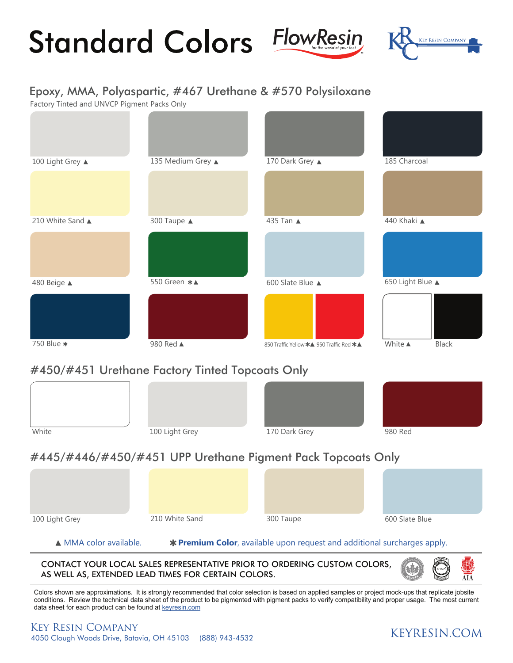# **Standard Colors FlowResing**





## Epoxy, MMA, Polyaspartic, #467 Urethane & #570 Polysiloxane

Factory Tinted and UNVCP Pigment Packs Only



## #450/#451 Urethane Factory Tinted Topcoats Only



# #445/#446/#450/#451 UPP Urethane Pigment Pack Topcoats Only

| 100 Light Grey | 210 White Sand | 300 Taupe | 600 Slate Blue |
|----------------|----------------|-----------|----------------|

## ▲ MMA color available. **\* Premium Color**, available upon request and additional surcharges apply.

CONTACT YOUR LOCAL SALES REPRESENTATIVE PRIOR TO ORDERING CUSTOM COLORS, AS WELL AS, EXTENDED LEAD TIMES FOR CERTAIN COLORS.



Colors shown are approximations. It is strongly recommended that color selection is based on applied samples or project mock-ups that replicate jobsite conditions. Review the technical data sheet of the product to be pigmented with pigment packs to verify compatibility and proper usage. The most current data sheet for each product can be found at keyresin.com

# **KEYRESIN.COM**